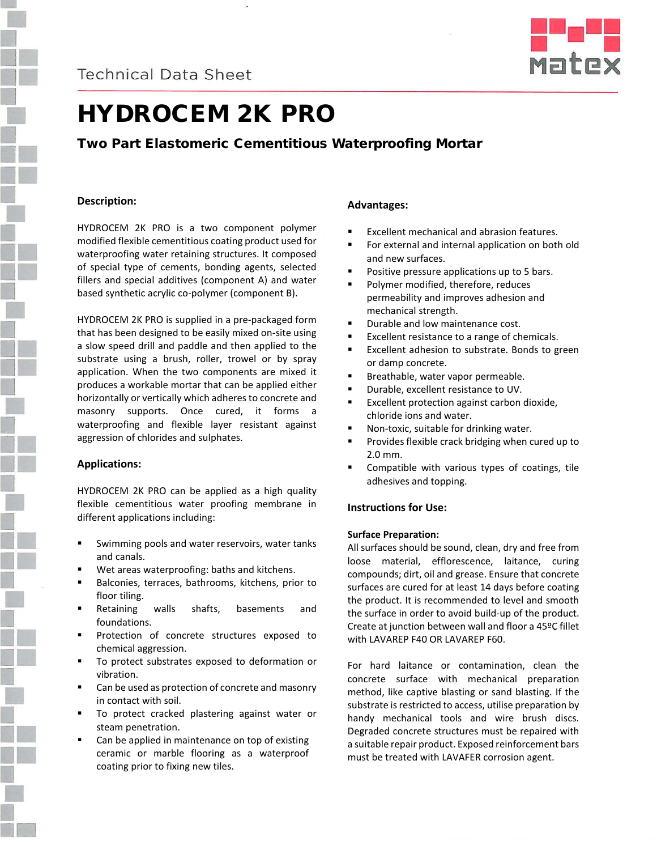



# HYDROCEM 2K PRO

## Two Part Elastomeric Cementitious Waterproofing Mortar

## **Description:**

HYDROCEM 2K PRO is a two component polymer modified flexible cementitious coating product used for waterproofing water retaining structures. It composed of special type of cements, bonding agents, selected fillers and special additives (component A) and water based synthetic acrylic co-polymer (component B).

HYDROCEM 2K PRO is supplied in a pre-packaged form that has been designed to be easily mixed on-site using a slow speed drill and paddle and then applied to the substrate using a brush, roller, trowel or by spray application. When the two components are mixed it produces a workable mortar that can be applied either horizontally or vertically which adheres to concrete and masonry supports. Once cured, it forms a waterproofing and flexible layer resistant against aggression of chlorides and sulphates.

## **Applications:**

HYDROCEM 2K PRO can be applied as a high quality flexible cementitious water proofing membrane in different applications including:

- Swimming pools and water reservoirs, water tanks and canals.
- Wet areas waterproofing: baths and kitchens.
- Balconies, terraces, bathrooms, kitchens, prior to floor tiling.
- Retaining walls shafts, basements and foundations.
- Protection of concrete structures exposed to chemical aggression.
- To protect substrates exposed to deformation or vibration.
- Can be used as protection of concrete and masonry in contact with soil.
- To protect cracked plastering against water or steam penetration.
- Can be applied in maintenance on top of existing ceramic or marble flooring as a waterproof coating prior to fixing new tiles.

## **Advantages:**

- Excellent mechanical and abrasion features.
- For external and internal application on both old and new surfaces.
- Positive pressure applications up to 5 bars.
- Polymer modified, therefore, reduces permeability and improves adhesion and mechanical strength.
- Durable and low maintenance cost.
- **Excellent resistance to a range of chemicals.**
- Excellent adhesion to substrate. Bonds to green or damp concrete.
- **Breathable, water vapor permeable.**
- Durable, excellent resistance to UV.
- Excellent protection against carbon dioxide, chloride ions and water.
- Non-toxic, suitable for drinking water.
- Provides flexible crack bridging when cured up to 2.0 mm.
- Compatible with various types of coatings, tile adhesives and topping.

## **Instructions for Use:**

### **Surface Preparation:**

All surfaces should be sound, clean, dry and free from loose material, efflorescence, laitance, curing compounds; dirt, oil and grease. Ensure that concrete surfaces are cured for at least 14 days before coating the product. It is recommended to level and smooth the surface in order to avoid build-up of the product. Create at junction between wall and floor a 45ºC fillet with LAVAREP F40 OR LAVAREP F60.

For hard laitance or contamination, clean the concrete surface with mechanical preparation method, like captive blasting or sand blasting. If the substrate is restricted to access, utilise preparation by handy mechanical tools and wire brush discs. Degraded concrete structures must be repaired with a suitable repair product. Exposed reinforcement bars must be treated with LAVAFER corrosion agent.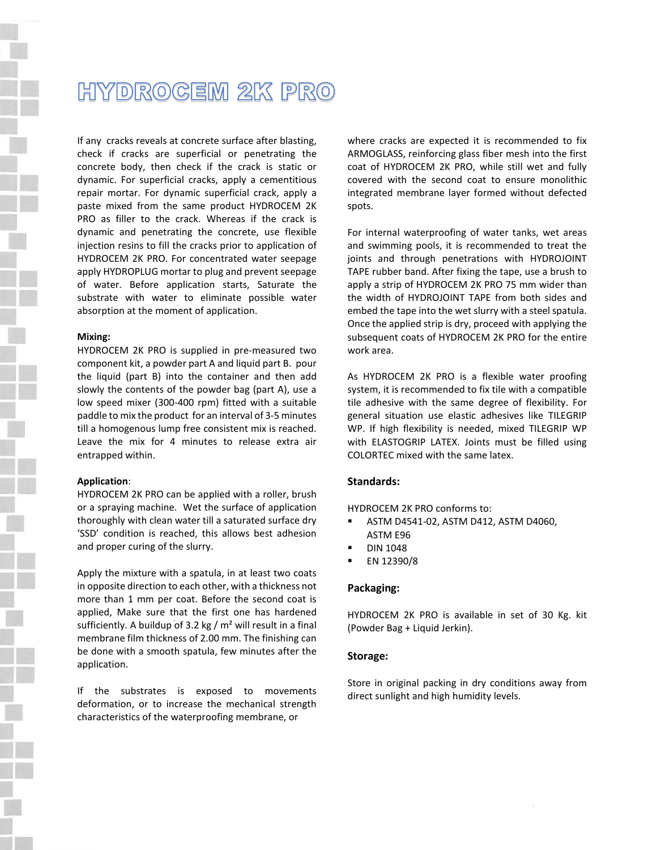## **HYDROGEM 2K PRO**

If any cracks reveals at concrete surface after blasting, check if cracks are superficial or penetrating the concrete body, then check if the crack is static or dynamic. For superficial cracks, apply a cementitious repair mortar. For dynamic superficial crack, apply a paste mixed from the same product HYDROCEM 2K PRO as filler to the crack. Whereas if the crack is dynamic and penetrating the concrete, use flexible injection resins to fill the cracks prior to application of HYDROCEM 2K PRO. For concentrated water seepage apply HYDROPLUG mortar to plug and prevent seepage of water. Before application starts, Saturate the substrate with water to eliminate possible water absorption at the moment of application.

#### **Mixing:**

HYDROCEM 2K PRO is supplied in pre-measured two component kit, a powder part A and liquid part B. pour the liquid (part B) into the container and then add slowly the contents of the powder bag (part A), use a low speed mixer (300-400 rpm) fitted with a suitable paddle to mix the product for an interval of 3-5 minutes till a homogenous lump free consistent mix is reached. Leave the mix for 4 minutes to release extra air entrapped within.

#### **Application**:

HYDROCEM 2K PRO can be applied with a roller, brush or a spraying machine. Wet the surface of application thoroughly with clean water till a saturated surface dry 'SSD' condition is reached, this allows best adhesion and proper curing of the slurry.

Apply the mixture with a spatula, in at least two coats in opposite direction to each other, with a thickness not more than 1 mm per coat. Before the second coat is applied, Make sure that the first one has hardened sufficiently. A buildup of 3.2 kg /  $m<sup>2</sup>$  will result in a final membrane film thickness of 2.00 mm. The finishing can be done with a smooth spatula, few minutes after the application.

If the substrates is exposed to movements deformation, or to increase the mechanical strength characteristics of the waterproofing membrane, or

where cracks are expected it is recommended to fix ARMOGLASS, reinforcing glass fiber mesh into the first coat of HYDROCEM 2K PRO, while still wet and fully covered with the second coat to ensure monolithic integrated membrane layer formed without defected spots.

For internal waterproofing of water tanks, wet areas and swimming pools, it is recommended to treat the joints and through penetrations with HYDROJOINT TAPE rubber band. After fixing the tape, use a brush to apply a strip of HYDROCEM 2K PRO 75 mm wider than the width of HYDROJOINT TAPE from both sides and embed the tape into the wet slurry with a steel spatula. Once the applied strip is dry, proceed with applying the subsequent coats of HYDROCEM 2K PRO for the entire work area.

As HYDROCEM 2K PRO is a flexible water proofing system, it is recommended to fix tile with a compatible tile adhesive with the same degree of flexibility. For general situation use elastic adhesives like TILEGRIP WP. If high flexibility is needed, mixed TILEGRIP WP with ELASTOGRIP LATEX. Joints must be filled using COLORTEC mixed with the same latex.

#### **Standards:**

HYDROCEM 2K PRO conforms to:

- ASTM D4541-02, ASTM D412, ASTM D4060, ASTM E96
- DIN 1048
- EN 12390/8

#### **Packaging:**

HYDROCEM 2K PRO is available in set of 30 Kg. kit (Powder Bag + Liquid Jerkin).

#### **Storage:**

Store in original packing in dry conditions away from direct sunlight and high humidity levels.